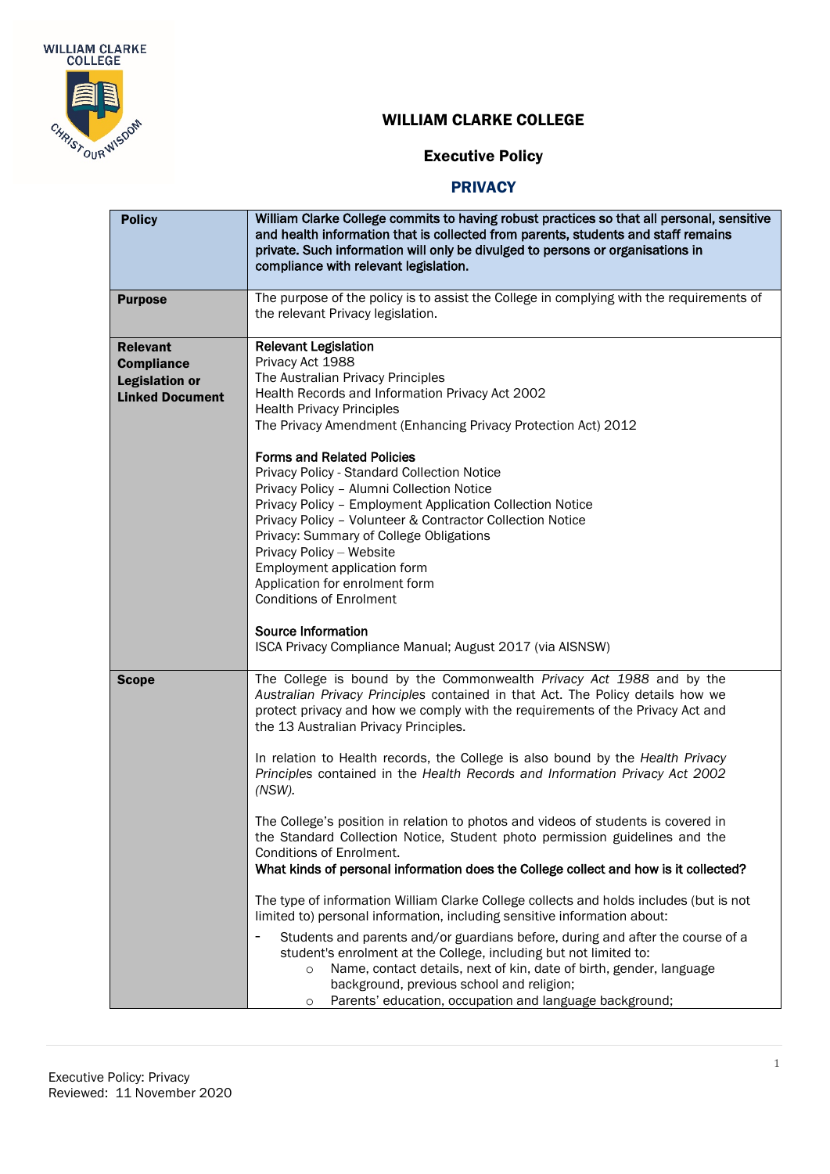

## Executive Policy

| <b>Policy</b>                                                                                                                                                                                                                                                                                                                                                                       | William Clarke College commits to having robust practices so that all personal, sensitive<br>and health information that is collected from parents, students and staff remains<br>private. Such information will only be divulged to persons or organisations in<br>compliance with relevant legislation.                                                                          |  |
|-------------------------------------------------------------------------------------------------------------------------------------------------------------------------------------------------------------------------------------------------------------------------------------------------------------------------------------------------------------------------------------|------------------------------------------------------------------------------------------------------------------------------------------------------------------------------------------------------------------------------------------------------------------------------------------------------------------------------------------------------------------------------------|--|
| <b>Purpose</b>                                                                                                                                                                                                                                                                                                                                                                      | The purpose of the policy is to assist the College in complying with the requirements of<br>the relevant Privacy legislation.                                                                                                                                                                                                                                                      |  |
| <b>Relevant</b><br><b>Compliance</b><br><b>Legislation or</b><br><b>Linked Document</b>                                                                                                                                                                                                                                                                                             | <b>Relevant Legislation</b><br>Privacy Act 1988<br>The Australian Privacy Principles<br>Health Records and Information Privacy Act 2002<br><b>Health Privacy Principles</b><br>The Privacy Amendment (Enhancing Privacy Protection Act) 2012<br><b>Forms and Related Policies</b><br>Privacy Policy - Standard Collection Notice<br>Privacy Policy - Alumni Collection Notice      |  |
|                                                                                                                                                                                                                                                                                                                                                                                     | Privacy Policy - Employment Application Collection Notice<br>Privacy Policy - Volunteer & Contractor Collection Notice<br>Privacy: Summary of College Obligations<br>Privacy Policy - Website<br>Employment application form<br>Application for enrolment form<br><b>Conditions of Enrolment</b><br>Source Information<br>ISCA Privacy Compliance Manual; August 2017 (via AISNSW) |  |
| The College is bound by the Commonwealth Privacy Act 1988 and by the<br><b>Scope</b><br>Australian Privacy Principles contained in that Act. The Policy details how we<br>protect privacy and how we comply with the requirements of the Privacy Act and<br>the 13 Australian Privacy Principles.<br>In relation to Health records, the College is also bound by the Health Privacy |                                                                                                                                                                                                                                                                                                                                                                                    |  |
|                                                                                                                                                                                                                                                                                                                                                                                     | Principles contained in the Health Records and Information Privacy Act 2002<br>(NSW).                                                                                                                                                                                                                                                                                              |  |
|                                                                                                                                                                                                                                                                                                                                                                                     | The College's position in relation to photos and videos of students is covered in<br>the Standard Collection Notice, Student photo permission guidelines and the<br>Conditions of Enrolment.<br>What kinds of personal information does the College collect and how is it collected?                                                                                               |  |
|                                                                                                                                                                                                                                                                                                                                                                                     | The type of information William Clarke College collects and holds includes (but is not<br>limited to) personal information, including sensitive information about:                                                                                                                                                                                                                 |  |
|                                                                                                                                                                                                                                                                                                                                                                                     | Students and parents and/or guardians before, during and after the course of a<br>student's enrolment at the College, including but not limited to:<br>Name, contact details, next of kin, date of birth, gender, language<br>$\circ$<br>background, previous school and religion;<br>Parents' education, occupation and language background;<br>O                                 |  |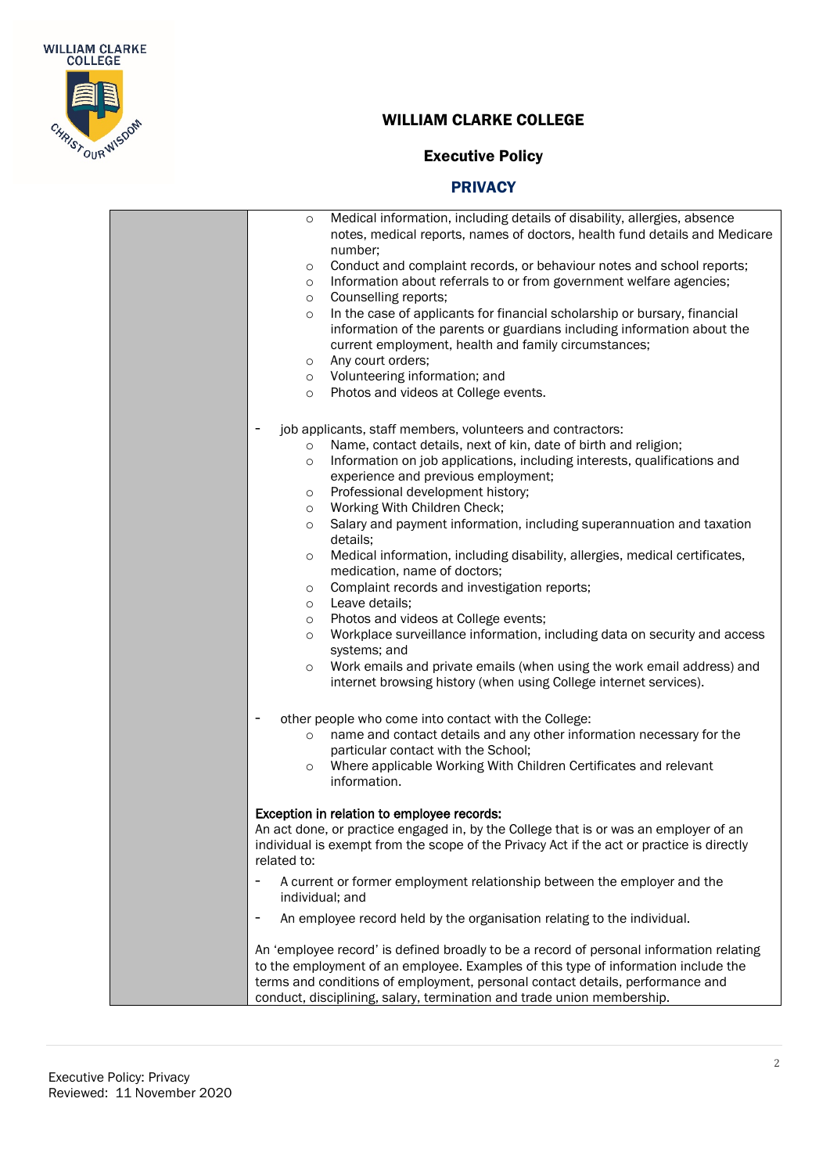

## Executive Policy

| Medical information, including details of disability, allergies, absence<br>$\circ$                                                                                                                                                                                                                                                                                                                                                                                                                                                                                                                                                                                                                                                                                                                                                                                                                  |
|------------------------------------------------------------------------------------------------------------------------------------------------------------------------------------------------------------------------------------------------------------------------------------------------------------------------------------------------------------------------------------------------------------------------------------------------------------------------------------------------------------------------------------------------------------------------------------------------------------------------------------------------------------------------------------------------------------------------------------------------------------------------------------------------------------------------------------------------------------------------------------------------------|
| notes, medical reports, names of doctors, health fund details and Medicare                                                                                                                                                                                                                                                                                                                                                                                                                                                                                                                                                                                                                                                                                                                                                                                                                           |
| number;<br>Conduct and complaint records, or behaviour notes and school reports;                                                                                                                                                                                                                                                                                                                                                                                                                                                                                                                                                                                                                                                                                                                                                                                                                     |
| $\circ$<br>Information about referrals to or from government welfare agencies;<br>$\circ$                                                                                                                                                                                                                                                                                                                                                                                                                                                                                                                                                                                                                                                                                                                                                                                                            |
| Counselling reports;<br>$\circ$                                                                                                                                                                                                                                                                                                                                                                                                                                                                                                                                                                                                                                                                                                                                                                                                                                                                      |
| In the case of applicants for financial scholarship or bursary, financial<br>$\circ$                                                                                                                                                                                                                                                                                                                                                                                                                                                                                                                                                                                                                                                                                                                                                                                                                 |
| information of the parents or guardians including information about the                                                                                                                                                                                                                                                                                                                                                                                                                                                                                                                                                                                                                                                                                                                                                                                                                              |
| current employment, health and family circumstances;                                                                                                                                                                                                                                                                                                                                                                                                                                                                                                                                                                                                                                                                                                                                                                                                                                                 |
| Any court orders;<br>$\circ$                                                                                                                                                                                                                                                                                                                                                                                                                                                                                                                                                                                                                                                                                                                                                                                                                                                                         |
| Volunteering information; and<br>$\circ$                                                                                                                                                                                                                                                                                                                                                                                                                                                                                                                                                                                                                                                                                                                                                                                                                                                             |
| Photos and videos at College events.<br>$\circ$                                                                                                                                                                                                                                                                                                                                                                                                                                                                                                                                                                                                                                                                                                                                                                                                                                                      |
| job applicants, staff members, volunteers and contractors:                                                                                                                                                                                                                                                                                                                                                                                                                                                                                                                                                                                                                                                                                                                                                                                                                                           |
| Name, contact details, next of kin, date of birth and religion;<br>$\circ$                                                                                                                                                                                                                                                                                                                                                                                                                                                                                                                                                                                                                                                                                                                                                                                                                           |
| Information on job applications, including interests, qualifications and<br>$\circ$                                                                                                                                                                                                                                                                                                                                                                                                                                                                                                                                                                                                                                                                                                                                                                                                                  |
| experience and previous employment;                                                                                                                                                                                                                                                                                                                                                                                                                                                                                                                                                                                                                                                                                                                                                                                                                                                                  |
| Professional development history;<br>$\circ$                                                                                                                                                                                                                                                                                                                                                                                                                                                                                                                                                                                                                                                                                                                                                                                                                                                         |
| Working With Children Check;<br>$\circ$                                                                                                                                                                                                                                                                                                                                                                                                                                                                                                                                                                                                                                                                                                                                                                                                                                                              |
| Salary and payment information, including superannuation and taxation<br>$\circ$<br>details;                                                                                                                                                                                                                                                                                                                                                                                                                                                                                                                                                                                                                                                                                                                                                                                                         |
| Medical information, including disability, allergies, medical certificates,<br>$\circ$                                                                                                                                                                                                                                                                                                                                                                                                                                                                                                                                                                                                                                                                                                                                                                                                               |
| medication, name of doctors;                                                                                                                                                                                                                                                                                                                                                                                                                                                                                                                                                                                                                                                                                                                                                                                                                                                                         |
| Complaint records and investigation reports;<br>$\circ$                                                                                                                                                                                                                                                                                                                                                                                                                                                                                                                                                                                                                                                                                                                                                                                                                                              |
| Leave details;<br>$\circ$                                                                                                                                                                                                                                                                                                                                                                                                                                                                                                                                                                                                                                                                                                                                                                                                                                                                            |
|                                                                                                                                                                                                                                                                                                                                                                                                                                                                                                                                                                                                                                                                                                                                                                                                                                                                                                      |
|                                                                                                                                                                                                                                                                                                                                                                                                                                                                                                                                                                                                                                                                                                                                                                                                                                                                                                      |
| $\circ$                                                                                                                                                                                                                                                                                                                                                                                                                                                                                                                                                                                                                                                                                                                                                                                                                                                                                              |
| internet browsing history (when using College internet services).                                                                                                                                                                                                                                                                                                                                                                                                                                                                                                                                                                                                                                                                                                                                                                                                                                    |
|                                                                                                                                                                                                                                                                                                                                                                                                                                                                                                                                                                                                                                                                                                                                                                                                                                                                                                      |
|                                                                                                                                                                                                                                                                                                                                                                                                                                                                                                                                                                                                                                                                                                                                                                                                                                                                                                      |
|                                                                                                                                                                                                                                                                                                                                                                                                                                                                                                                                                                                                                                                                                                                                                                                                                                                                                                      |
| $\circ$                                                                                                                                                                                                                                                                                                                                                                                                                                                                                                                                                                                                                                                                                                                                                                                                                                                                                              |
| information.                                                                                                                                                                                                                                                                                                                                                                                                                                                                                                                                                                                                                                                                                                                                                                                                                                                                                         |
|                                                                                                                                                                                                                                                                                                                                                                                                                                                                                                                                                                                                                                                                                                                                                                                                                                                                                                      |
| An act done, or practice engaged in, by the College that is or was an employer of an                                                                                                                                                                                                                                                                                                                                                                                                                                                                                                                                                                                                                                                                                                                                                                                                                 |
| individual is exempt from the scope of the Privacy Act if the act or practice is directly                                                                                                                                                                                                                                                                                                                                                                                                                                                                                                                                                                                                                                                                                                                                                                                                            |
| related to:                                                                                                                                                                                                                                                                                                                                                                                                                                                                                                                                                                                                                                                                                                                                                                                                                                                                                          |
| A current or former employment relationship between the employer and the                                                                                                                                                                                                                                                                                                                                                                                                                                                                                                                                                                                                                                                                                                                                                                                                                             |
| An employee record held by the organisation relating to the individual.                                                                                                                                                                                                                                                                                                                                                                                                                                                                                                                                                                                                                                                                                                                                                                                                                              |
|                                                                                                                                                                                                                                                                                                                                                                                                                                                                                                                                                                                                                                                                                                                                                                                                                                                                                                      |
|                                                                                                                                                                                                                                                                                                                                                                                                                                                                                                                                                                                                                                                                                                                                                                                                                                                                                                      |
|                                                                                                                                                                                                                                                                                                                                                                                                                                                                                                                                                                                                                                                                                                                                                                                                                                                                                                      |
|                                                                                                                                                                                                                                                                                                                                                                                                                                                                                                                                                                                                                                                                                                                                                                                                                                                                                                      |
| Photos and videos at College events;<br>$\circ$<br>Workplace surveillance information, including data on security and access<br>$\circ$<br>systems; and<br>Work emails and private emails (when using the work email address) and<br>other people who come into contact with the College:<br>name and contact details and any other information necessary for the<br>$\circ$<br>particular contact with the School;<br>Where applicable Working With Children Certificates and relevant<br>Exception in relation to employee records:<br>individual; and<br>An 'employee record' is defined broadly to be a record of personal information relating<br>to the employment of an employee. Examples of this type of information include the<br>terms and conditions of employment, personal contact details, performance and<br>conduct, disciplining, salary, termination and trade union membership. |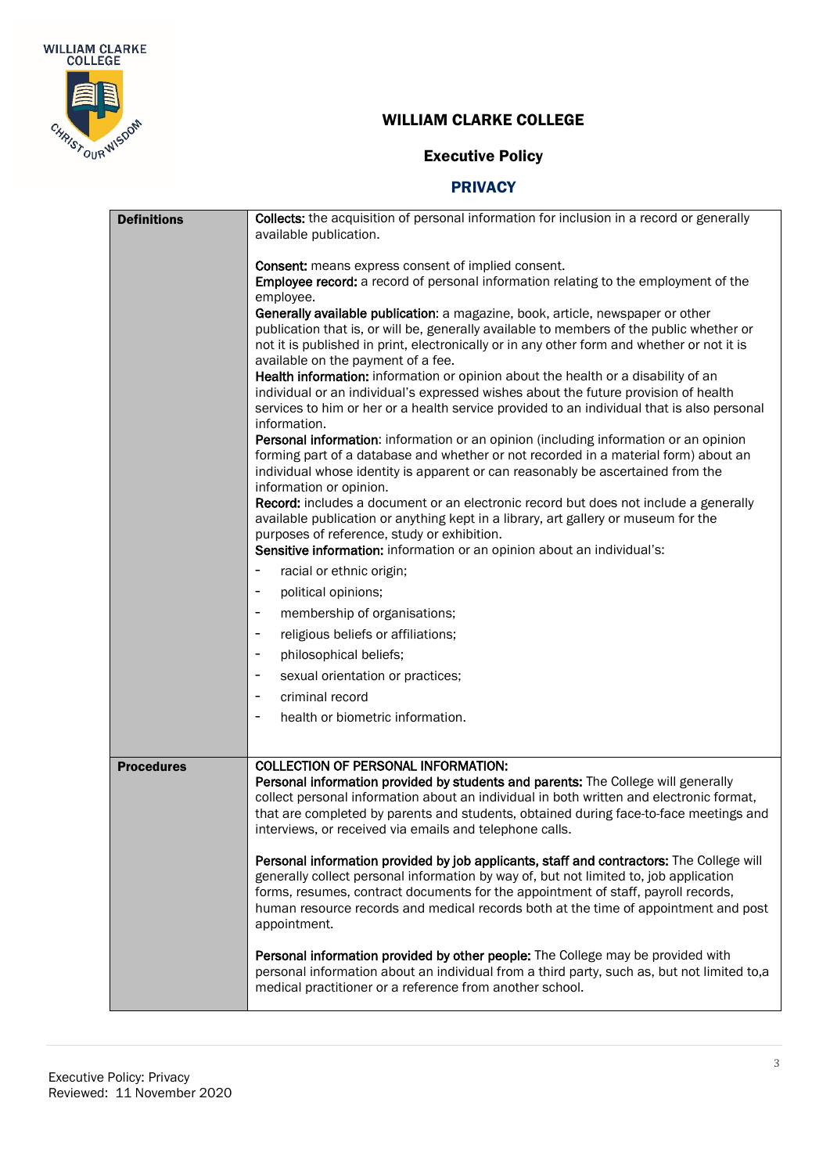

## Executive Policy

| <b>Definitions</b>                                                                                                                                                                                                                                                                                                                                                                                                                                                                                                                                                                                                                                                                                                                                                                                                                                                                                                                                                                                                                                                                                                                                                                                                                                                                                  | Collects: the acquisition of personal information for inclusion in a record or generally<br>available publication.                                                                                                                                                                                                                                                             |  |
|-----------------------------------------------------------------------------------------------------------------------------------------------------------------------------------------------------------------------------------------------------------------------------------------------------------------------------------------------------------------------------------------------------------------------------------------------------------------------------------------------------------------------------------------------------------------------------------------------------------------------------------------------------------------------------------------------------------------------------------------------------------------------------------------------------------------------------------------------------------------------------------------------------------------------------------------------------------------------------------------------------------------------------------------------------------------------------------------------------------------------------------------------------------------------------------------------------------------------------------------------------------------------------------------------------|--------------------------------------------------------------------------------------------------------------------------------------------------------------------------------------------------------------------------------------------------------------------------------------------------------------------------------------------------------------------------------|--|
| <b>Consent:</b> means express consent of implied consent.<br>Employee record: a record of personal information relating to the employment of the<br>employee.<br>Generally available publication: a magazine, book, article, newspaper or other<br>publication that is, or will be, generally available to members of the public whether or<br>not it is published in print, electronically or in any other form and whether or not it is<br>available on the payment of a fee.<br>Health information: information or opinion about the health or a disability of an<br>individual or an individual's expressed wishes about the future provision of health<br>services to him or her or a health service provided to an individual that is also personal<br>information.<br>Personal information: information or an opinion (including information or an opinion<br>forming part of a database and whether or not recorded in a material form) about an<br>individual whose identity is apparent or can reasonably be ascertained from the<br>information or opinion.<br>Record: includes a document or an electronic record but does not include a generally<br>available publication or anything kept in a library, art gallery or museum for the<br>purposes of reference, study or exhibition. |                                                                                                                                                                                                                                                                                                                                                                                |  |
|                                                                                                                                                                                                                                                                                                                                                                                                                                                                                                                                                                                                                                                                                                                                                                                                                                                                                                                                                                                                                                                                                                                                                                                                                                                                                                     | Sensitive information: information or an opinion about an individual's:                                                                                                                                                                                                                                                                                                        |  |
|                                                                                                                                                                                                                                                                                                                                                                                                                                                                                                                                                                                                                                                                                                                                                                                                                                                                                                                                                                                                                                                                                                                                                                                                                                                                                                     | racial or ethnic origin;                                                                                                                                                                                                                                                                                                                                                       |  |
|                                                                                                                                                                                                                                                                                                                                                                                                                                                                                                                                                                                                                                                                                                                                                                                                                                                                                                                                                                                                                                                                                                                                                                                                                                                                                                     | political opinions;<br>$\overline{\phantom{a}}$                                                                                                                                                                                                                                                                                                                                |  |
|                                                                                                                                                                                                                                                                                                                                                                                                                                                                                                                                                                                                                                                                                                                                                                                                                                                                                                                                                                                                                                                                                                                                                                                                                                                                                                     | membership of organisations;<br>$\overline{\phantom{a}}$                                                                                                                                                                                                                                                                                                                       |  |
|                                                                                                                                                                                                                                                                                                                                                                                                                                                                                                                                                                                                                                                                                                                                                                                                                                                                                                                                                                                                                                                                                                                                                                                                                                                                                                     | religious beliefs or affiliations;                                                                                                                                                                                                                                                                                                                                             |  |
|                                                                                                                                                                                                                                                                                                                                                                                                                                                                                                                                                                                                                                                                                                                                                                                                                                                                                                                                                                                                                                                                                                                                                                                                                                                                                                     | philosophical beliefs;                                                                                                                                                                                                                                                                                                                                                         |  |
|                                                                                                                                                                                                                                                                                                                                                                                                                                                                                                                                                                                                                                                                                                                                                                                                                                                                                                                                                                                                                                                                                                                                                                                                                                                                                                     | sexual orientation or practices;                                                                                                                                                                                                                                                                                                                                               |  |
|                                                                                                                                                                                                                                                                                                                                                                                                                                                                                                                                                                                                                                                                                                                                                                                                                                                                                                                                                                                                                                                                                                                                                                                                                                                                                                     | criminal record<br>$\overline{\phantom{a}}$                                                                                                                                                                                                                                                                                                                                    |  |
|                                                                                                                                                                                                                                                                                                                                                                                                                                                                                                                                                                                                                                                                                                                                                                                                                                                                                                                                                                                                                                                                                                                                                                                                                                                                                                     | health or biometric information.                                                                                                                                                                                                                                                                                                                                               |  |
|                                                                                                                                                                                                                                                                                                                                                                                                                                                                                                                                                                                                                                                                                                                                                                                                                                                                                                                                                                                                                                                                                                                                                                                                                                                                                                     |                                                                                                                                                                                                                                                                                                                                                                                |  |
| <b>Procedures</b>                                                                                                                                                                                                                                                                                                                                                                                                                                                                                                                                                                                                                                                                                                                                                                                                                                                                                                                                                                                                                                                                                                                                                                                                                                                                                   | <b>COLLECTION OF PERSONAL INFORMATION:</b><br>Personal information provided by students and parents: The College will generally<br>collect personal information about an individual in both written and electronic format,<br>that are completed by parents and students, obtained during face-to-face meetings and<br>interviews, or received via emails and telephone calls. |  |
|                                                                                                                                                                                                                                                                                                                                                                                                                                                                                                                                                                                                                                                                                                                                                                                                                                                                                                                                                                                                                                                                                                                                                                                                                                                                                                     | Personal information provided by job applicants, staff and contractors: The College will<br>generally collect personal information by way of, but not limited to, job application<br>forms, resumes, contract documents for the appointment of staff, payroll records,<br>human resource records and medical records both at the time of appointment and post<br>appointment.  |  |
|                                                                                                                                                                                                                                                                                                                                                                                                                                                                                                                                                                                                                                                                                                                                                                                                                                                                                                                                                                                                                                                                                                                                                                                                                                                                                                     | Personal information provided by other people: The College may be provided with<br>personal information about an individual from a third party, such as, but not limited to,a<br>medical practitioner or a reference from another school.                                                                                                                                      |  |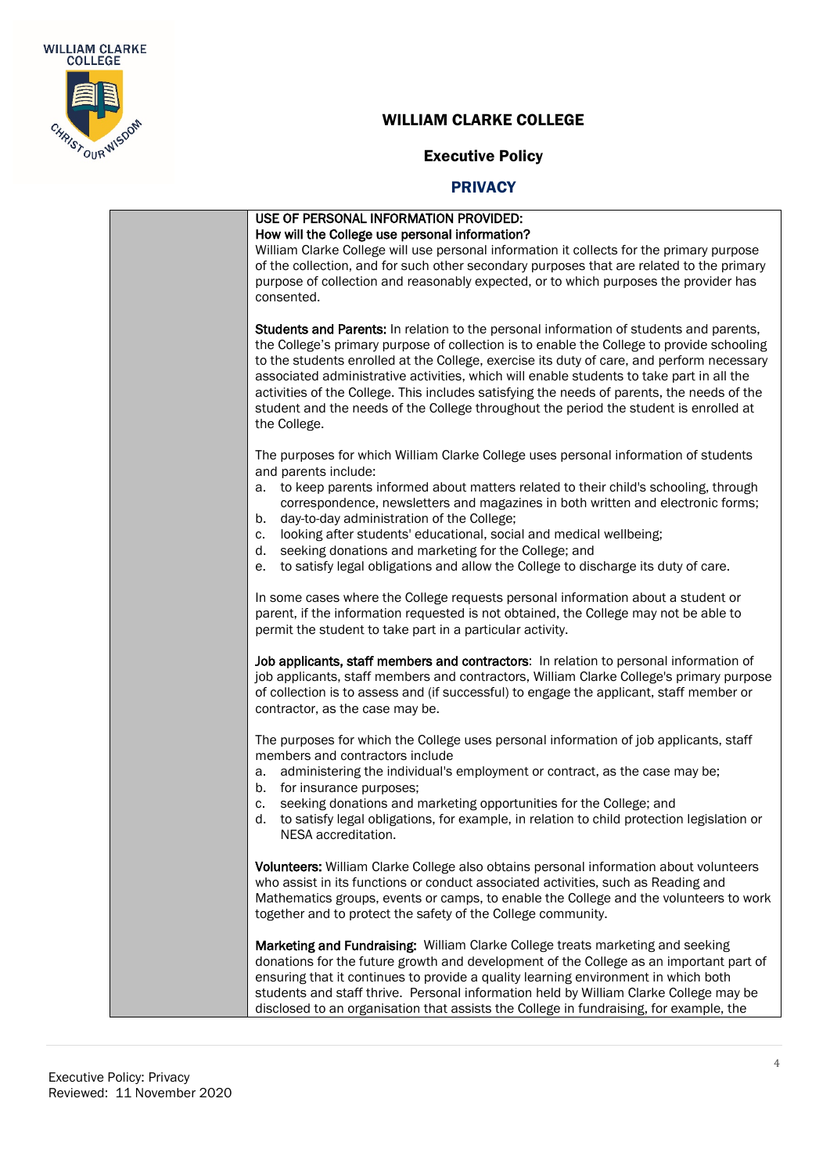

## Executive Policy

|    | USE OF PERSONAL INFORMATION PROVIDED:                                                                                                                                                                                                                                                                                                                                                                                                                                                                                                                                               |
|----|-------------------------------------------------------------------------------------------------------------------------------------------------------------------------------------------------------------------------------------------------------------------------------------------------------------------------------------------------------------------------------------------------------------------------------------------------------------------------------------------------------------------------------------------------------------------------------------|
|    | How will the College use personal information?                                                                                                                                                                                                                                                                                                                                                                                                                                                                                                                                      |
|    | William Clarke College will use personal information it collects for the primary purpose                                                                                                                                                                                                                                                                                                                                                                                                                                                                                            |
|    | of the collection, and for such other secondary purposes that are related to the primary                                                                                                                                                                                                                                                                                                                                                                                                                                                                                            |
|    | purpose of collection and reasonably expected, or to which purposes the provider has                                                                                                                                                                                                                                                                                                                                                                                                                                                                                                |
|    | consented.                                                                                                                                                                                                                                                                                                                                                                                                                                                                                                                                                                          |
|    | Students and Parents: In relation to the personal information of students and parents,<br>the College's primary purpose of collection is to enable the College to provide schooling<br>to the students enrolled at the College, exercise its duty of care, and perform necessary<br>associated administrative activities, which will enable students to take part in all the<br>activities of the College. This includes satisfying the needs of parents, the needs of the<br>student and the needs of the College throughout the period the student is enrolled at<br>the College. |
|    | The purposes for which William Clarke College uses personal information of students<br>and parents include:                                                                                                                                                                                                                                                                                                                                                                                                                                                                         |
| b. | a. to keep parents informed about matters related to their child's schooling, through<br>correspondence, newsletters and magazines in both written and electronic forms;<br>day-to-day administration of the College;                                                                                                                                                                                                                                                                                                                                                               |
| c. | looking after students' educational, social and medical wellbeing;                                                                                                                                                                                                                                                                                                                                                                                                                                                                                                                  |
| d. | seeking donations and marketing for the College; and                                                                                                                                                                                                                                                                                                                                                                                                                                                                                                                                |
| е. | to satisfy legal obligations and allow the College to discharge its duty of care.                                                                                                                                                                                                                                                                                                                                                                                                                                                                                                   |
|    | In some cases where the College requests personal information about a student or<br>parent, if the information requested is not obtained, the College may not be able to<br>permit the student to take part in a particular activity.                                                                                                                                                                                                                                                                                                                                               |
|    | Job applicants, staff members and contractors: In relation to personal information of<br>job applicants, staff members and contractors, William Clarke College's primary purpose<br>of collection is to assess and (if successful) to engage the applicant, staff member or<br>contractor, as the case may be.                                                                                                                                                                                                                                                                      |
|    | The purposes for which the College uses personal information of job applicants, staff<br>members and contractors include                                                                                                                                                                                                                                                                                                                                                                                                                                                            |
|    | a. administering the individual's employment or contract, as the case may be;<br>b. for insurance purposes;                                                                                                                                                                                                                                                                                                                                                                                                                                                                         |
| c. | seeking donations and marketing opportunities for the College; and                                                                                                                                                                                                                                                                                                                                                                                                                                                                                                                  |
|    | d. to satisfy legal obligations, for example, in relation to child protection legislation or<br>NESA accreditation.                                                                                                                                                                                                                                                                                                                                                                                                                                                                 |
|    | Volunteers: William Clarke College also obtains personal information about volunteers                                                                                                                                                                                                                                                                                                                                                                                                                                                                                               |
|    | who assist in its functions or conduct associated activities, such as Reading and                                                                                                                                                                                                                                                                                                                                                                                                                                                                                                   |
|    | Mathematics groups, events or camps, to enable the College and the volunteers to work<br>together and to protect the safety of the College community.                                                                                                                                                                                                                                                                                                                                                                                                                               |
|    | Marketing and Fundraising: William Clarke College treats marketing and seeking<br>donations for the future growth and development of the College as an important part of<br>ensuring that it continues to provide a quality learning environment in which both<br>students and staff thrive. Personal information held by William Clarke College may be<br>disclosed to an organisation that assists the College in fundraising, for example, the                                                                                                                                   |
|    |                                                                                                                                                                                                                                                                                                                                                                                                                                                                                                                                                                                     |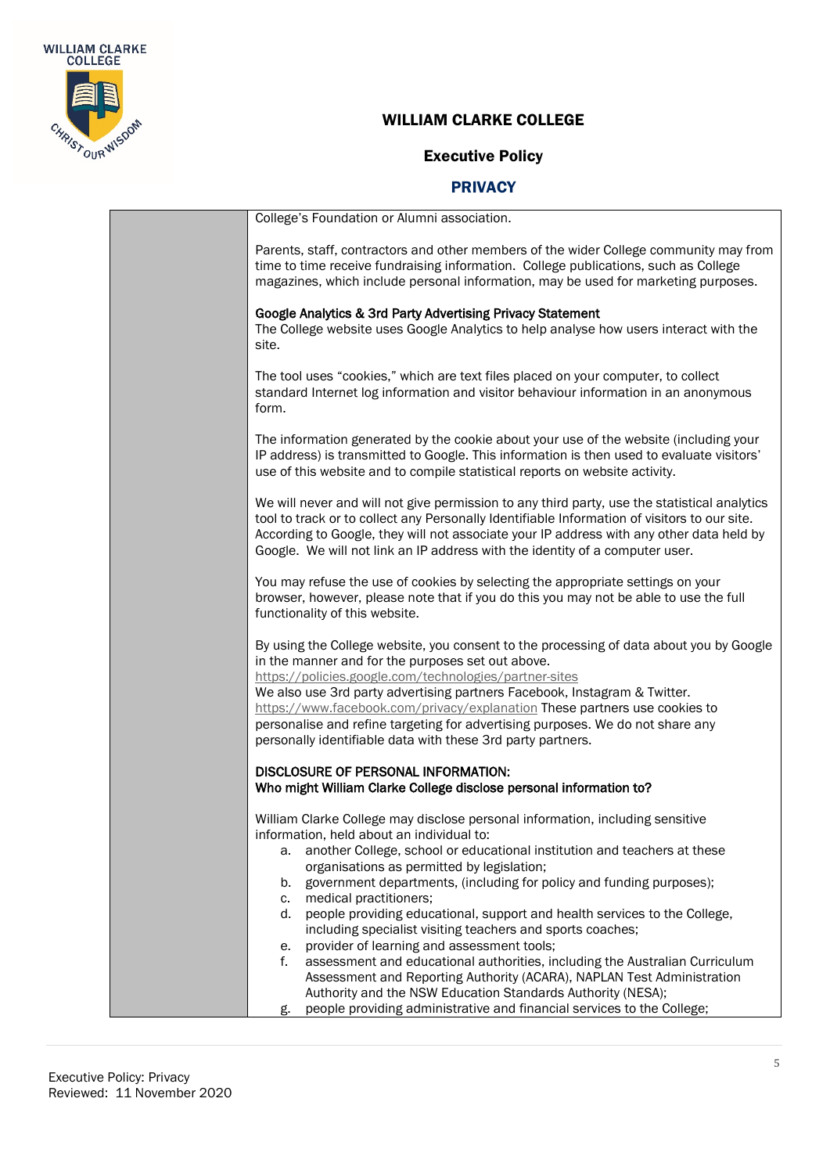

# Executive Policy

|  | College's Foundation or Alumni association.                                                                                                                                                                                                                                                                                                                                                                                                                                                                        |
|--|--------------------------------------------------------------------------------------------------------------------------------------------------------------------------------------------------------------------------------------------------------------------------------------------------------------------------------------------------------------------------------------------------------------------------------------------------------------------------------------------------------------------|
|  | Parents, staff, contractors and other members of the wider College community may from<br>time to time receive fundraising information. College publications, such as College<br>magazines, which include personal information, may be used for marketing purposes.                                                                                                                                                                                                                                                 |
|  | Google Analytics & 3rd Party Advertising Privacy Statement<br>The College website uses Google Analytics to help analyse how users interact with the<br>site.                                                                                                                                                                                                                                                                                                                                                       |
|  | The tool uses "cookies," which are text files placed on your computer, to collect<br>standard Internet log information and visitor behaviour information in an anonymous<br>form.                                                                                                                                                                                                                                                                                                                                  |
|  | The information generated by the cookie about your use of the website (including your<br>IP address) is transmitted to Google. This information is then used to evaluate visitors'<br>use of this website and to compile statistical reports on website activity.                                                                                                                                                                                                                                                  |
|  | We will never and will not give permission to any third party, use the statistical analytics<br>tool to track or to collect any Personally Identifiable Information of visitors to our site.<br>According to Google, they will not associate your IP address with any other data held by<br>Google. We will not link an IP address with the identity of a computer user.                                                                                                                                           |
|  | You may refuse the use of cookies by selecting the appropriate settings on your<br>browser, however, please note that if you do this you may not be able to use the full<br>functionality of this website.                                                                                                                                                                                                                                                                                                         |
|  | By using the College website, you consent to the processing of data about you by Google<br>in the manner and for the purposes set out above.<br>https://policies.google.com/technologies/partner-sites<br>We also use 3rd party advertising partners Facebook, Instagram & Twitter.<br>https://www.facebook.com/privacy/explanation These partners use cookies to<br>personalise and refine targeting for advertising purposes. We do not share any<br>personally identifiable data with these 3rd party partners. |
|  | DISCLOSURE OF PERSONAL INFORMATION:<br>Who might William Clarke College disclose personal information to?                                                                                                                                                                                                                                                                                                                                                                                                          |
|  | William Clarke College may disclose personal information, including sensitive<br>information, held about an individual to:<br>another College, school or educational institution and teachers at these                                                                                                                                                                                                                                                                                                             |
|  | а.<br>organisations as permitted by legislation;<br>government departments, (including for policy and funding purposes);<br>b.<br>medical practitioners;<br>c.                                                                                                                                                                                                                                                                                                                                                     |
|  | people providing educational, support and health services to the College,<br>d.<br>including specialist visiting teachers and sports coaches;<br>provider of learning and assessment tools;<br>е.                                                                                                                                                                                                                                                                                                                  |
|  | f.<br>assessment and educational authorities, including the Australian Curriculum<br>Assessment and Reporting Authority (ACARA), NAPLAN Test Administration<br>Authority and the NSW Education Standards Authority (NESA);                                                                                                                                                                                                                                                                                         |
|  | people providing administrative and financial services to the College;<br>g.                                                                                                                                                                                                                                                                                                                                                                                                                                       |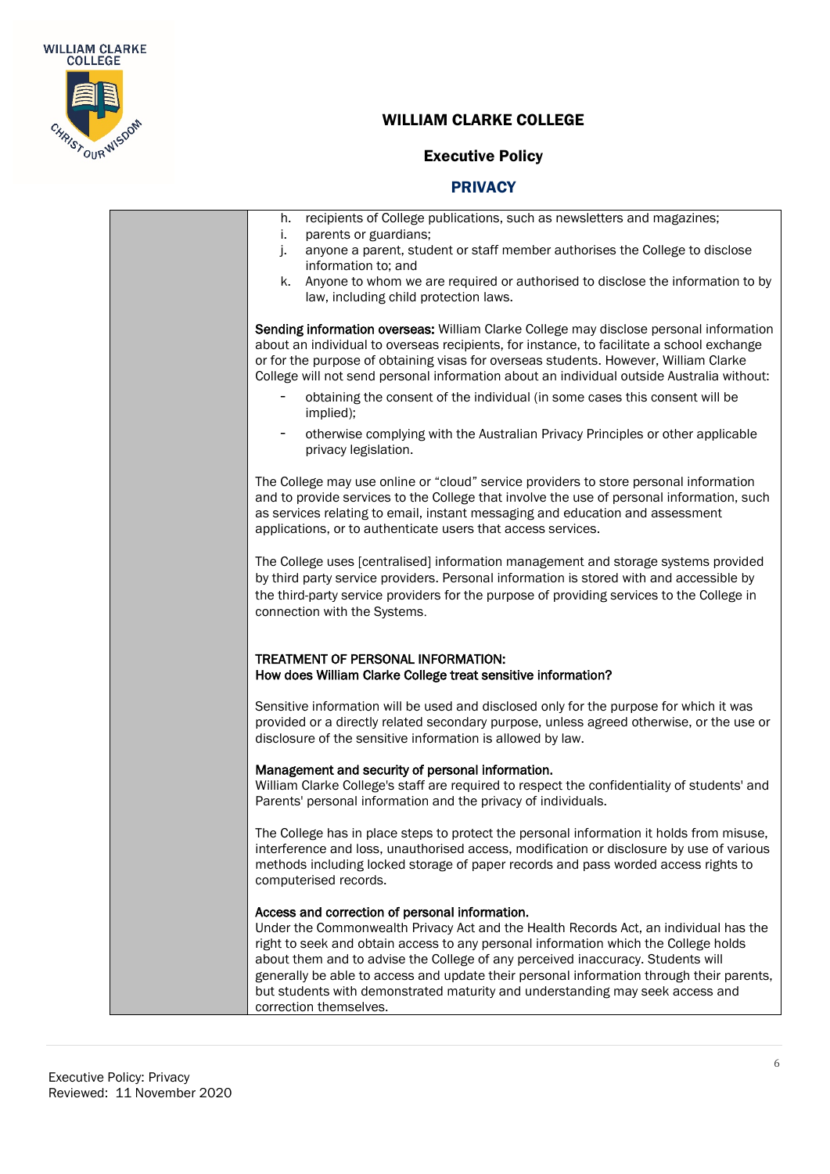

Е

## WILLIAM CLARKE COLLEGE

## Executive Policy

| recipients of College publications, such as newsletters and magazines;<br>h.<br>parents or guardians;<br>i.<br>anyone a parent, student or staff member authorises the College to disclose<br>j.<br>information to; and<br>Anyone to whom we are required or authorised to disclose the information to by<br>k.<br>law, including child protection laws.                                                                                                                                                                |
|-------------------------------------------------------------------------------------------------------------------------------------------------------------------------------------------------------------------------------------------------------------------------------------------------------------------------------------------------------------------------------------------------------------------------------------------------------------------------------------------------------------------------|
| Sending information overseas: William Clarke College may disclose personal information<br>about an individual to overseas recipients, for instance, to facilitate a school exchange<br>or for the purpose of obtaining visas for overseas students. However, William Clarke<br>College will not send personal information about an individual outside Australia without:                                                                                                                                                |
| obtaining the consent of the individual (in some cases this consent will be<br>implied);                                                                                                                                                                                                                                                                                                                                                                                                                                |
| otherwise complying with the Australian Privacy Principles or other applicable<br>۰<br>privacy legislation.                                                                                                                                                                                                                                                                                                                                                                                                             |
| The College may use online or "cloud" service providers to store personal information<br>and to provide services to the College that involve the use of personal information, such<br>as services relating to email, instant messaging and education and assessment<br>applications, or to authenticate users that access services.                                                                                                                                                                                     |
| The College uses [centralised] information management and storage systems provided<br>by third party service providers. Personal information is stored with and accessible by<br>the third-party service providers for the purpose of providing services to the College in<br>connection with the Systems.                                                                                                                                                                                                              |
| TREATMENT OF PERSONAL INFORMATION:<br>How does William Clarke College treat sensitive information?                                                                                                                                                                                                                                                                                                                                                                                                                      |
| Sensitive information will be used and disclosed only for the purpose for which it was<br>provided or a directly related secondary purpose, unless agreed otherwise, or the use or<br>disclosure of the sensitive information is allowed by law.                                                                                                                                                                                                                                                                        |
| Management and security of personal information.<br>William Clarke College's staff are required to respect the confidentiality of students' and<br>Parents' personal information and the privacy of individuals.                                                                                                                                                                                                                                                                                                        |
| The College has in place steps to protect the personal information it holds from misuse,<br>interference and loss, unauthorised access, modification or disclosure by use of various<br>methods including locked storage of paper records and pass worded access rights to<br>computerised records.                                                                                                                                                                                                                     |
| Access and correction of personal information.<br>Under the Commonwealth Privacy Act and the Health Records Act, an individual has the<br>right to seek and obtain access to any personal information which the College holds<br>about them and to advise the College of any perceived inaccuracy. Students will<br>generally be able to access and update their personal information through their parents,<br>but students with demonstrated maturity and understanding may seek access and<br>correction themselves. |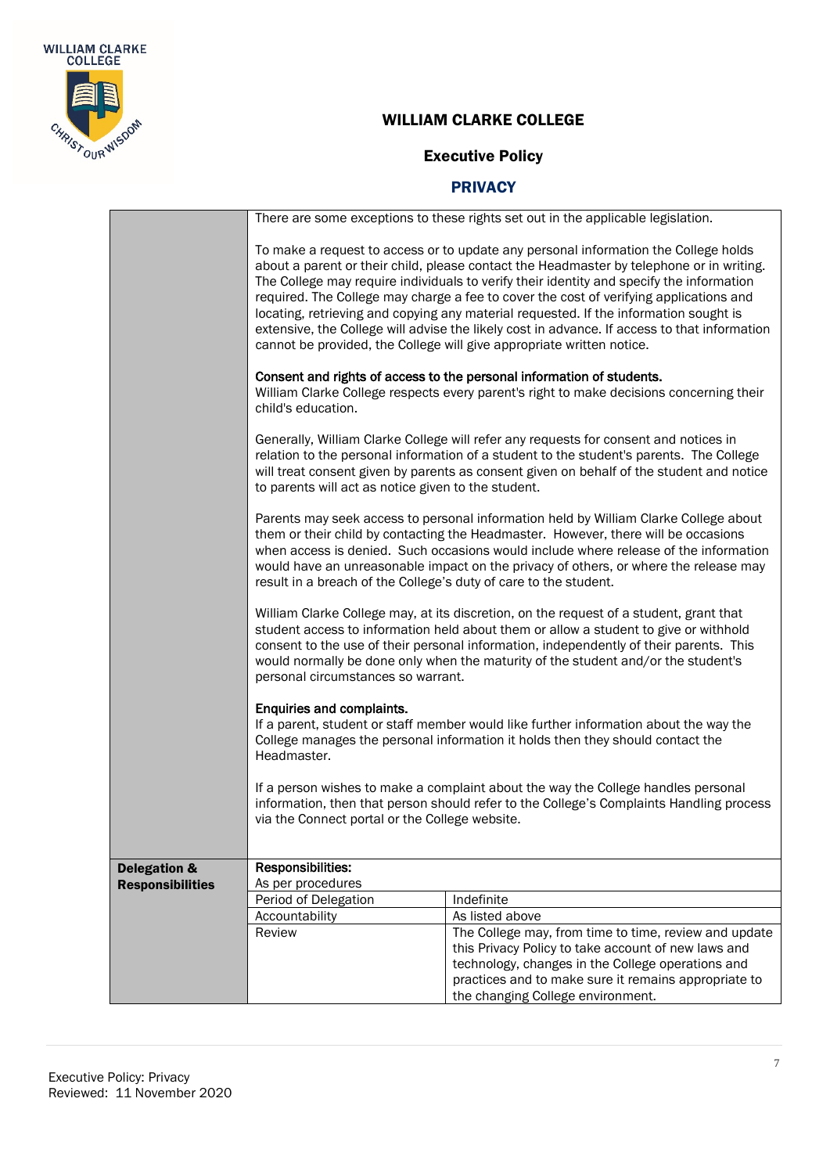

# Executive Policy

|                                                    | There are some exceptions to these rights set out in the applicable legislation.                                                                                                                                                                                                                                                                                                                                                                                                                                                                                                                                                        |                                                                                                                                                                                                                                                                |  |
|----------------------------------------------------|-----------------------------------------------------------------------------------------------------------------------------------------------------------------------------------------------------------------------------------------------------------------------------------------------------------------------------------------------------------------------------------------------------------------------------------------------------------------------------------------------------------------------------------------------------------------------------------------------------------------------------------------|----------------------------------------------------------------------------------------------------------------------------------------------------------------------------------------------------------------------------------------------------------------|--|
|                                                    | To make a request to access or to update any personal information the College holds<br>about a parent or their child, please contact the Headmaster by telephone or in writing.<br>The College may require individuals to verify their identity and specify the information<br>required. The College may charge a fee to cover the cost of verifying applications and<br>locating, retrieving and copying any material requested. If the information sought is<br>extensive, the College will advise the likely cost in advance. If access to that information<br>cannot be provided, the College will give appropriate written notice. |                                                                                                                                                                                                                                                                |  |
|                                                    | Consent and rights of access to the personal information of students.<br>William Clarke College respects every parent's right to make decisions concerning their<br>child's education.                                                                                                                                                                                                                                                                                                                                                                                                                                                  |                                                                                                                                                                                                                                                                |  |
|                                                    | Generally, William Clarke College will refer any requests for consent and notices in<br>relation to the personal information of a student to the student's parents. The College<br>will treat consent given by parents as consent given on behalf of the student and notice<br>to parents will act as notice given to the student.                                                                                                                                                                                                                                                                                                      |                                                                                                                                                                                                                                                                |  |
|                                                    | Parents may seek access to personal information held by William Clarke College about<br>them or their child by contacting the Headmaster. However, there will be occasions<br>when access is denied. Such occasions would include where release of the information<br>would have an unreasonable impact on the privacy of others, or where the release may<br>result in a breach of the College's duty of care to the student.                                                                                                                                                                                                          |                                                                                                                                                                                                                                                                |  |
|                                                    | William Clarke College may, at its discretion, on the request of a student, grant that<br>student access to information held about them or allow a student to give or withhold<br>consent to the use of their personal information, independently of their parents. This<br>would normally be done only when the maturity of the student and/or the student's<br>personal circumstances so warrant.                                                                                                                                                                                                                                     |                                                                                                                                                                                                                                                                |  |
|                                                    | Enquiries and complaints.<br>If a parent, student or staff member would like further information about the way the<br>College manages the personal information it holds then they should contact the<br>Headmaster.                                                                                                                                                                                                                                                                                                                                                                                                                     |                                                                                                                                                                                                                                                                |  |
|                                                    | If a person wishes to make a complaint about the way the College handles personal<br>information, then that person should refer to the College's Complaints Handling process<br>via the Connect portal or the College website.                                                                                                                                                                                                                                                                                                                                                                                                          |                                                                                                                                                                                                                                                                |  |
| <b>Delegation &amp;</b><br><b>Responsibilities</b> | Responsibilities:<br>As per procedures                                                                                                                                                                                                                                                                                                                                                                                                                                                                                                                                                                                                  |                                                                                                                                                                                                                                                                |  |
|                                                    | Period of Delegation                                                                                                                                                                                                                                                                                                                                                                                                                                                                                                                                                                                                                    | Indefinite                                                                                                                                                                                                                                                     |  |
|                                                    | Accountability                                                                                                                                                                                                                                                                                                                                                                                                                                                                                                                                                                                                                          | As listed above                                                                                                                                                                                                                                                |  |
|                                                    | Review                                                                                                                                                                                                                                                                                                                                                                                                                                                                                                                                                                                                                                  | The College may, from time to time, review and update<br>this Privacy Policy to take account of new laws and<br>technology, changes in the College operations and<br>practices and to make sure it remains appropriate to<br>the changing College environment. |  |
|                                                    |                                                                                                                                                                                                                                                                                                                                                                                                                                                                                                                                                                                                                                         |                                                                                                                                                                                                                                                                |  |